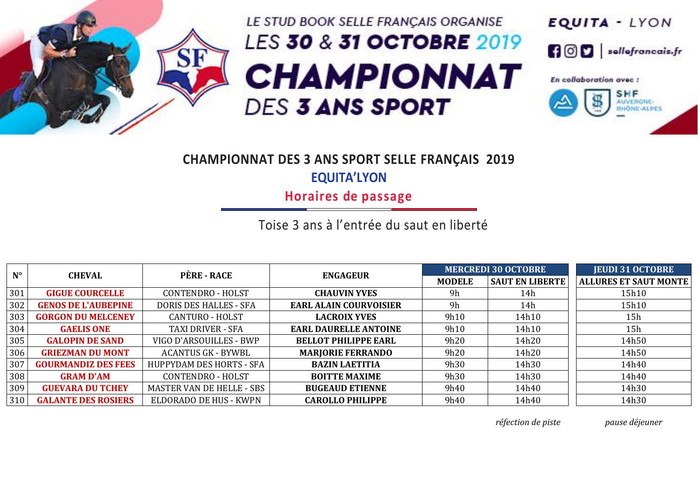

## LE STUD BOOK SELLE FRANÇAIS ORGANISE LES 30 & 31 OCTOBRE 2019 **CHAMPIONNAT DES 3 ANS SPORT**



## **CHAMPIONNAT DES 3 ANS SPORT SELLE FRANÇAIS 2019 EQUITA'LYON**

**Horaires de passage**

Toise 3 ans à l'entrée du saut en liberté

| $N^{\circ}$ | <b>CHEVAL</b>              | <b>PÈRE - RACE</b>              | <b>ENGAGEUR</b>               |               | <b>MERCREDI 30 OCTOBRE</b> | <b>JEUDI 31 OCTOBRE</b>      |
|-------------|----------------------------|---------------------------------|-------------------------------|---------------|----------------------------|------------------------------|
|             |                            |                                 |                               | <b>MODELE</b> | <b>SAUT EN LIBERTE</b>     | <b>ALLURES ET SAUT MONTE</b> |
| 301         | <b>GIGUE COURCELLE</b>     | CONTENDRO - HOLST               | <b>CHAUVIN YVES</b>           | 9h            | 14h                        | 15h10                        |
| 302         | <b>GENOS DE L'AUBEPINE</b> | <b>DORIS DES HALLES - SFA</b>   | <b>EARL ALAIN COURVOISIER</b> | 9h            | 14h                        | 15h10                        |
| 303         | <b>GORGON DU MELCENEY</b>  | <b>CANTURO - HOLST</b>          | <b>LACROIX YVES</b>           | 9h10          | 14h10                      | 15h                          |
| 304         | <b>GAELIS ONE</b>          | <b>TAXI DRIVER - SFA</b>        | <b>EARL DAURELLE ANTOINE</b>  | 9h10          | 14h10                      | 15h                          |
| 305         | <b>GALOPIN DE SAND</b>     | VIGO D'ARSOUILLES - BWP         | <b>BELLOT PHILIPPE EARL</b>   | 9h20          | 14h20                      | 14h50                        |
| 306         | <b>GRIEZMAN DU MONT</b>    | <b>ACANTUS GK - BYWBL</b>       | <b>MARJORIE FERRANDO</b>      | 9h20          | 14h20                      | 14h50                        |
| 307         | <b>GOURMANDIZ DES FEES</b> | <b>HUPPYDAM DES HORTS - SFA</b> | <b>BAZIN LAETITIA</b>         | 9h30          | 14h30                      | 14h40                        |
| 308         | <b>GRAM D'AM</b>           | <b>CONTENDRO - HOLST</b>        | <b>BOITTE MAXIME</b>          | 9h30          | 14h30                      | 14h40                        |
| 309         | <b>GUEVARA DU TCHEY</b>    | MASTER VAN DE HELLE - SBS       | <b>BUGEAUD ETIENNE</b>        | 9h40          | 14h40                      | 14h30                        |
| 310         | <b>GALANTE DES ROSIERS</b> | ELDORADO DE HUS - KWPN          | <b>CAROLLO PHILIPPE</b>       | 9h40          | 14h40                      | 14h30                        |

*réfection de piste pause déjeuner*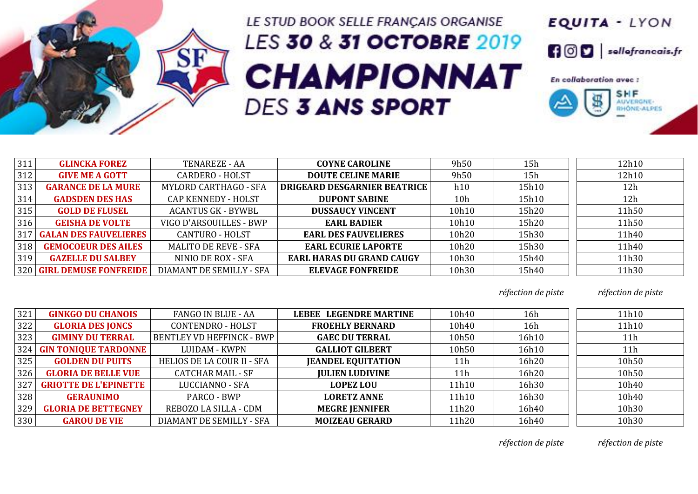

## LE STUD BOOK SELLE FRANÇAIS ORGANISE LES 30 & 31 OCTOBRE 2019 **CHAMPIONNAT DES 3 ANS SPORT**



| 311 | <b>GLINCKA FOREZ</b>         | TENAREZE - AA                | <b>COYNE CAROLINE</b>               | 9h50            | 15h   | 12h10 |
|-----|------------------------------|------------------------------|-------------------------------------|-----------------|-------|-------|
| 312 | <b>GIVE ME A GOTT</b>        | <b>CARDERO - HOLST</b>       | <b>DOUTE CELINE MARIE</b>           | 9h50            | 15h   | 12h10 |
| 313 | <b>GARANCE DE LA MURE</b>    | <b>MYLORD CARTHAGO - SFA</b> | <b>DRIGEARD DESGARNIER BEATRICE</b> | h10             | 15h10 | 12h   |
| 314 | <b>GADSDEN DES HAS</b>       | CAP KENNEDY - HOLST          | <b>DUPONT SABINE</b>                | 10 <sub>h</sub> | 15h10 | 12h   |
| 315 | <b>GOLD DE FLUSEL</b>        | <b>ACANTUS GK - BYWBL</b>    | <b>DUSSAUCY VINCENT</b>             | 10h10           | 15h20 | 11h50 |
| 316 | <b>GEISHA DE VOLTE</b>       | VIGO D'ARSOUILLES - BWP      | <b>EARL BADIER</b>                  | 10h10           | 15h20 | 11h50 |
| 317 | <b>GALAN DES FAUVELIERES</b> | <b>CANTURO - HOLST</b>       | <b>EARL DES FAUVELIERES</b>         | 10h20           | 15h30 | 11h40 |
| 318 | <b>GEMOCOEUR DES AILES</b>   | <b>MALITO DE REVE - SFA</b>  | <b>EARL ECURIE LAPORTE</b>          | 10h20           | 15h30 | 11h40 |
| 319 | <b>GAZELLE DU SALBEY</b>     | NINIO DE ROX - SFA           | <b>EARL HARAS DU GRAND CAUGY</b>    | 10h30           | 15h40 | 11h30 |
|     | 320 GIRL DEMUSE FONFREIDE    | DIAMANT DE SEMILLY - SFA     | <b>ELEVAGE FONFREIDE</b>            | 10h30           | 15h40 | 11h30 |

*réfection de piste réfection de piste*

| 321 | <b>GINKGO DU CHANOIS</b>     | <b>FANGO IN BLUE - AA</b>        | <b>LEBEE LEGENDRE MARTINE</b> | 10h40           | 16h   | 11h10           |
|-----|------------------------------|----------------------------------|-------------------------------|-----------------|-------|-----------------|
| 322 | <b>GLORIA DES JONCS</b>      | <b>CONTENDRO - HOLST</b>         | <b>FROEHLY BERNARD</b>        | 10h40           | 16h   | 11h10           |
| 323 | <b>GIMINY DU TERRAL</b>      | <b>BENTLEY VD HEFFINCK - BWP</b> | <b>GAEC DU TERRAL</b>         | 10h50           | 16h10 | 11 <sub>h</sub> |
| 324 | <b>GIN TONIQUE TARDONNE</b>  | LUIDAM - KWPN                    | <b>GALLIOT GILBERT</b>        | 10h50           | 16h10 | 11 <sub>h</sub> |
| 325 | <b>GOLDEN DU PUITS</b>       | HELIOS DE LA COUR II - SFA       | <b>JEANDEL EQUITATION</b>     | 11 <sub>h</sub> | 16h20 | 10h50           |
| 326 | <b>GLORIA DE BELLE VUE</b>   | <b>CATCHAR MAIL - SF</b>         | <b>JULIEN LUDIVINE</b>        | 11h             | 16h20 | 10h50           |
| 327 | <b>GRIOTTE DE L'EPINETTE</b> | <b>LUCCIANNO - SFA</b>           | <b>LOPEZ LOU</b>              | 11h10           | 16h30 | 10h40           |
| 328 | <b>GERAUNIMO</b>             | PARCO - BWP                      | <b>LORETZ ANNE</b>            | 11h10           | 16h30 | 10h40           |
| 329 | <b>GLORIA DE BETTEGNEY</b>   | REBOZO LA SILLA - CDM            | <b>MEGRE JENNIFER</b>         | 11h20           | 16h40 | 10h30           |
| 330 | <b>GAROU DE VIE</b>          | DIAMANT DE SEMILLY - SFA         | <b>MOIZEAU GERARD</b>         | 11h20           | 16h40 | 10h30           |

*réfection de piste réfection de piste*